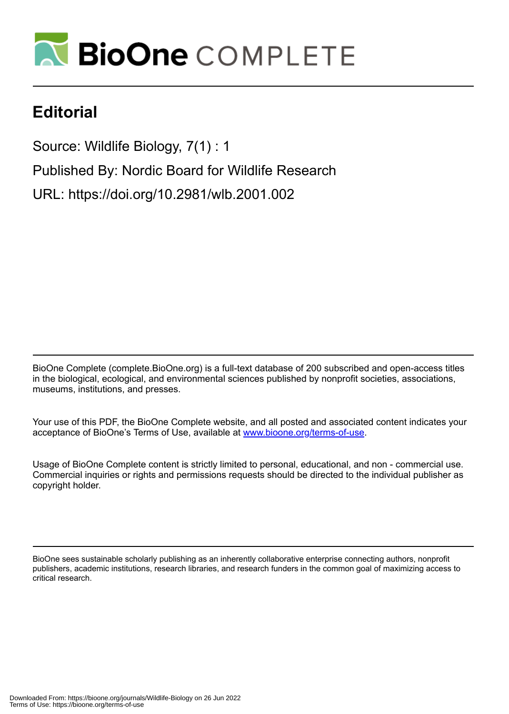

## **Editorial**

Source: Wildlife Biology, 7(1) : 1

Published By: Nordic Board for Wildlife Research

URL: https://doi.org/10.2981/wlb.2001.002

BioOne Complete (complete.BioOne.org) is a full-text database of 200 subscribed and open-access titles in the biological, ecological, and environmental sciences published by nonprofit societies, associations, museums, institutions, and presses.

Your use of this PDF, the BioOne Complete website, and all posted and associated content indicates your acceptance of BioOne's Terms of Use, available at www.bioone.org/terms-of-use.

Usage of BioOne Complete content is strictly limited to personal, educational, and non - commercial use. Commercial inquiries or rights and permissions requests should be directed to the individual publisher as copyright holder.

BioOne sees sustainable scholarly publishing as an inherently collaborative enterprise connecting authors, nonprofit publishers, academic institutions, research libraries, and research funders in the common goal of maximizing access to critical research.